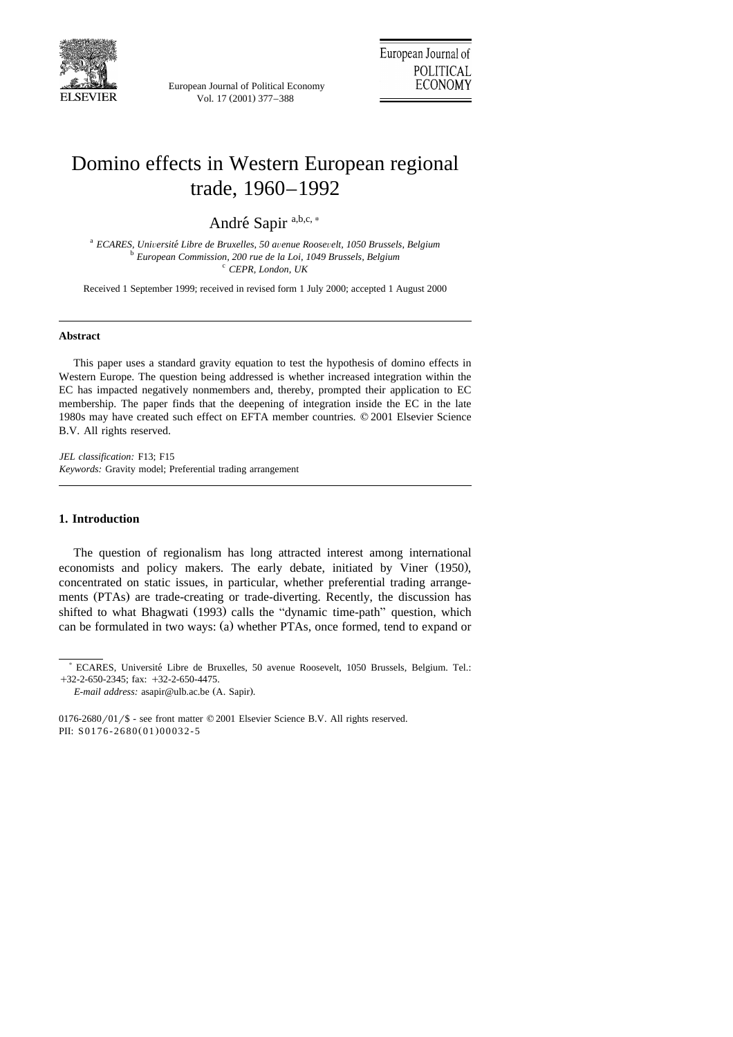

European Journal of Political Economy Vol. 17 (2001) 377-388

## Domino effects in Western European regional trade, 1960–1992

André Sapir<sup>a,b,c,\*</sup>

<sup>a</sup> *ECARES, Uni*Õ*ersite Libre de Bruxelles, 50 a* ´ <sup>Õ</sup>*enue Roose*Õ*elt, 1050 Brussels, Belgium* <sup>b</sup> *European Commission, 200 rue de la Loi, 1049 Brussels, Belgium* <sup>c</sup> *CEPR, London, UK*

Received 1 September 1999; received in revised form 1 July 2000; accepted 1 August 2000

## **Abstract**

This paper uses a standard gravity equation to test the hypothesis of domino effects in Western Europe. The question being addressed is whether increased integration within the EC has impacted negatively nonmembers and, thereby, prompted their application to EC membership. The paper finds that the deepening of integration inside the EC in the late 1980s may have created such effect on EFTA member countries.  $© 2001$  Elsevier Science B.V. All rights reserved.

*JEL classification:* F13; F15 *Keywords:* Gravity model; Preferential trading arrangement

## **1. Introduction**

The question of regionalism has long attracted interest among international economists and policy makers. The early debate, initiated by Viner (1950), concentrated on static issues, in particular, whether preferential trading arrangements (PTAs) are trade-creating or trade-diverting. Recently, the discussion has shifted to what Bhagwati (1993) calls the "dynamic time-path" question, which can be formulated in two ways: (a) whether PTAs, once formed, tend to expand or

<sup>)</sup> ECARES, Universite Libre de Bruxelles, 50 avenue Roosevelt, 1050 Brussels, Belgium. Tel.: ´  $+32-2-650-2345$ ; fax:  $+32-2-650-4475$ .

*E-mail address:* asapir@ulb.ac.be (A. Sapir).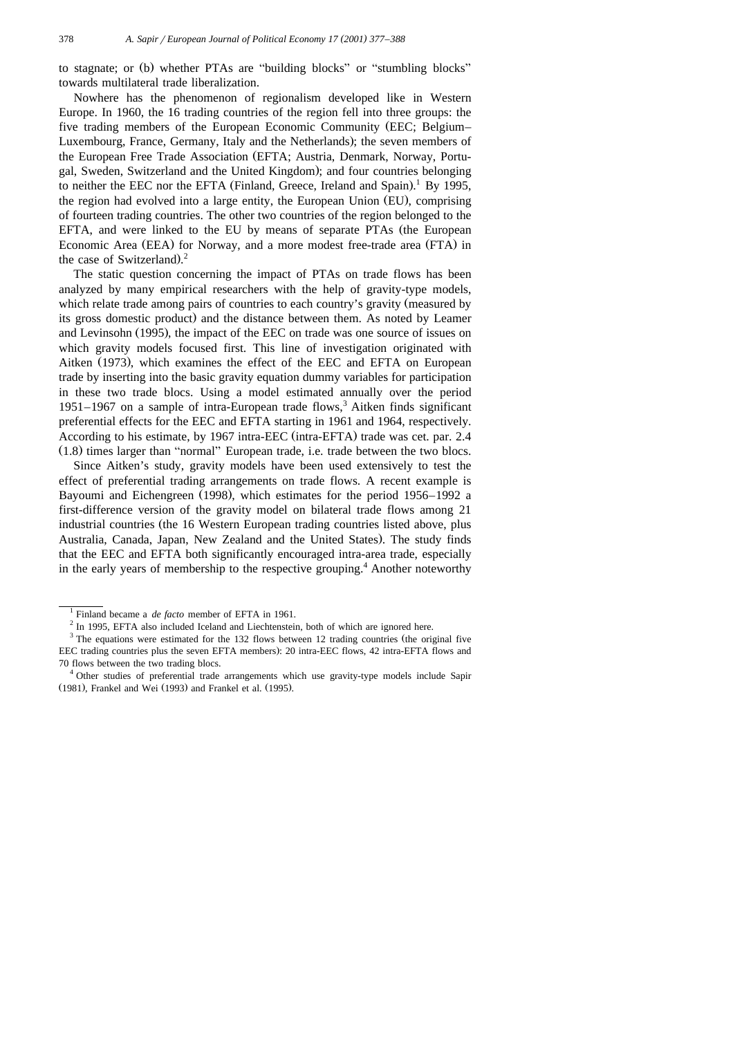to stagnate; or (b) whether PTAs are "building blocks" or "stumbling blocks" towards multilateral trade liberalization.

Nowhere has the phenomenon of regionalism developed like in Western Europe. In 1960, the 16 trading countries of the region fell into three groups: the five trading members of the European Economic Community (EEC; Belgium– Luxembourg, France, Germany, Italy and the Netherlands); the seven members of the European Free Trade Association (EFTA; Austria, Denmark, Norway, Portugal, Sweden, Switzerland and the United Kingdom); and four countries belonging to neither the EEC nor the EFTA (Finland, Greece, Ireland and Spain).<sup>1</sup> By 1995, the region had evolved into a large entity, the European Union (EU), comprising of fourteen trading countries. The other two countries of the region belonged to the EFTA, and were linked to the EU by means of separate PTAs (the European Economic Area (EEA) for Norway, and a more modest free-trade area (FTA) in the case of Switzerland). $2$ 

The static question concerning the impact of PTAs on trade flows has been analyzed by many empirical researchers with the help of gravity-type models, which relate trade among pairs of countries to each country's gravity (measured by its gross domestic product) and the distance between them. As noted by Leamer and Levinsohn (1995), the impact of the EEC on trade was one source of issues on which gravity models focused first. This line of investigation originated with Aitken (1973), which examines the effect of the EEC and EFTA on European trade by inserting into the basic gravity equation dummy variables for participation in these two trade blocs. Using a model estimated annually over the period  $1951-1967$  on a sample of intra-European trade flows,<sup>3</sup> Aitken finds significant preferential effects for the EEC and EFTA starting in 1961 and 1964, respectively. According to his estimate, by 1967 intra-EEC (intra-EFTA) trade was cet. par. 2.4  $(1.8)$  times larger than "normal" European trade, i.e. trade between the two blocs.

Since Aitken's study, gravity models have been used extensively to test the effect of preferential trading arrangements on trade flows. A recent example is Bayoumi and Eichengreen (1998), which estimates for the period 1956–1992 a first-difference version of the gravity model on bilateral trade flows among 21 industrial countries (the 16 Western European trading countries listed above, plus Australia, Canada, Japan, New Zealand and the United States). The study finds that the EEC and EFTA both significantly encouraged intra-area trade, especially in the early years of membership to the respective grouping.<sup>4</sup> Another noteworthy

<sup>&</sup>lt;sup>1</sup> Finland became a *de facto* member of EFTA in 1961.<br><sup>2</sup> In 1995, EFTA also included Iceland and Liechtenstein, both of which are ignored here.

 $3$  The equations were estimated for the 132 flows between 12 trading countries (the original five EEC trading countries plus the seven EFTA members): 20 intra-EEC flows, 42 intra-EFTA flows and 70 flows between the two trading blocs.<br><sup>4</sup> Other studies of preferential trade arrangements which use gravity-type models include Sapir

<sup>(1981),</sup> Frankel and Wei (1993) and Frankel et al. (1995).